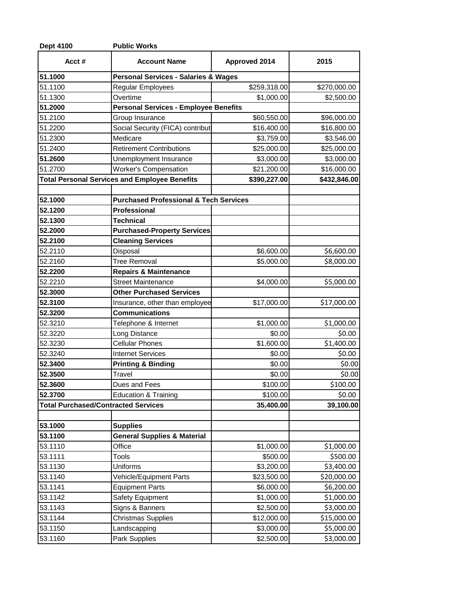| 2015<br>\$270,000.00<br>\$2,500.00<br>\$96,000.00<br>\$16,800.00<br>\$3,546.00<br>\$25,000.00<br>\$3,000.00<br>\$16,000.00<br>\$432,846.00<br>\$6,600.00 |
|----------------------------------------------------------------------------------------------------------------------------------------------------------|
|                                                                                                                                                          |
|                                                                                                                                                          |
|                                                                                                                                                          |
|                                                                                                                                                          |
|                                                                                                                                                          |
|                                                                                                                                                          |
|                                                                                                                                                          |
|                                                                                                                                                          |
|                                                                                                                                                          |
|                                                                                                                                                          |
|                                                                                                                                                          |
|                                                                                                                                                          |
|                                                                                                                                                          |
|                                                                                                                                                          |
|                                                                                                                                                          |
|                                                                                                                                                          |
|                                                                                                                                                          |
|                                                                                                                                                          |
| \$8,000.00                                                                                                                                               |
|                                                                                                                                                          |
| \$5,000.00                                                                                                                                               |
|                                                                                                                                                          |
| \$17,000.00                                                                                                                                              |
|                                                                                                                                                          |
| \$1,000.00                                                                                                                                               |
| \$0.00                                                                                                                                                   |
| \$1,400.00                                                                                                                                               |
| \$0.00                                                                                                                                                   |
| \$0.00                                                                                                                                                   |
| \$0.00                                                                                                                                                   |
| \$100.00                                                                                                                                                 |
| \$0.00                                                                                                                                                   |
| 39,100.00                                                                                                                                                |
|                                                                                                                                                          |
|                                                                                                                                                          |
| \$1,000.00                                                                                                                                               |
| \$500.00                                                                                                                                                 |
| \$3,400.00                                                                                                                                               |
| \$20,000.00                                                                                                                                              |
| \$6,200.00                                                                                                                                               |
| \$1,000.00                                                                                                                                               |
| \$3,000.00                                                                                                                                               |
| \$15,000.00                                                                                                                                              |
| \$5,000.00                                                                                                                                               |
| \$3,000.00                                                                                                                                               |
|                                                                                                                                                          |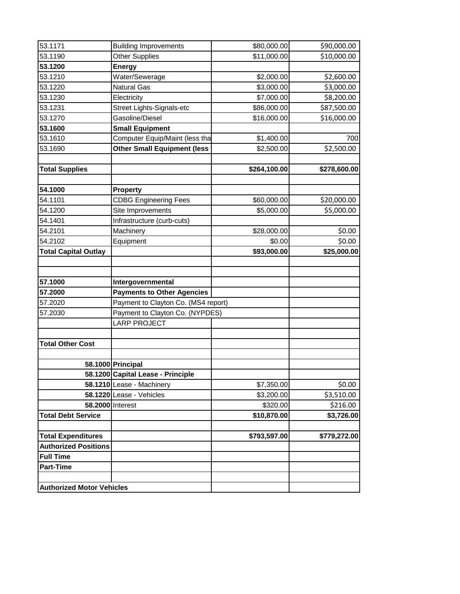| 53.1171                          | <b>Building Improvements</b>        | \$80,000.00  | \$90,000.00  |
|----------------------------------|-------------------------------------|--------------|--------------|
| 53.1190                          | Other Supplies                      | \$11,000.00  | \$10,000.00  |
| 53.1200                          | <b>Energy</b>                       |              |              |
| 53.1210                          | Water/Sewerage                      | \$2,000.00   | \$2,600.00   |
| 53.1220                          | <b>Natural Gas</b>                  | \$3,000.00   | \$3,000.00   |
| 53.1230                          | Electricity                         | \$7,000.00   | \$8,200.00   |
| 53.1231                          | Street Lights-Signals-etc           | \$86,000.00  | \$87,500.00  |
| 53.1270                          | Gasoline/Diesel                     | \$16,000.00  | \$16,000.00  |
| 53.1600                          | <b>Small Equipment</b>              |              |              |
| 53.1610                          | Computer Equip/Maint (less tha      | \$1,400.00   | 700          |
| 53.1690                          | <b>Other Small Equipment (less</b>  | \$2,500.00   | \$2,500.00   |
| <b>Total Supplies</b>            |                                     | \$264,100.00 | \$278,600.00 |
|                                  |                                     |              |              |
| 54.1000                          | <b>Property</b>                     |              |              |
| 54.1101                          | <b>CDBG Engineering Fees</b>        | \$60,000.00  | \$20,000.00  |
| 54.1200                          | Site Improvements                   | \$5,000.00   | \$5,000.00   |
| 54.1401                          | Infrastructure (curb-cuts)          |              |              |
| 54.2101                          | Machinery                           | \$28,000.00  | \$0.00       |
| 54.2102                          | Equipment                           | \$0.00       | \$0.00       |
| <b>Total Capital Outlay</b>      |                                     | \$93,000.00  | \$25,000.00  |
| 57.1000                          | Intergovernmental                   |              |              |
| 57.2000                          | <b>Payments to Other Agencies</b>   |              |              |
| 57.2020                          | Payment to Clayton Co. (MS4 report) |              |              |
| 57.2030                          | Payment to Clayton Co. (NYPDES)     |              |              |
|                                  | <b>LARP PROJECT</b>                 |              |              |
| <b>Total Other Cost</b>          |                                     |              |              |
|                                  | 58.1000 Principal                   |              |              |
|                                  | 58.1200 Capital Lease - Principle   |              |              |
|                                  | 58.1210 Lease - Machinery           | \$7,350.00   | \$0.00       |
|                                  | 58.1220 Lease - Vehicles            | \$3,200.00   | \$3,510.00   |
| 58.2000 Interest                 |                                     | \$320.00     | \$216.00     |
| <b>Total Debt Service</b>        |                                     | \$10,870.00  | \$3,726.00   |
| <b>Total Expenditures</b>        |                                     | \$793,597.00 | \$779,272.00 |
| <b>Authorized Positions</b>      |                                     |              |              |
| <b>Full Time</b>                 |                                     |              |              |
| <b>Part-Time</b>                 |                                     |              |              |
| <b>Authorized Motor Vehicles</b> |                                     |              |              |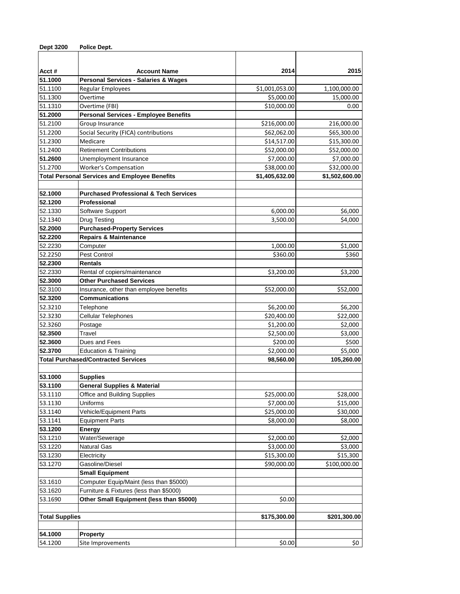| <b>Dept 3200</b>      | Police Dept.                                                                       |                            |                          |
|-----------------------|------------------------------------------------------------------------------------|----------------------------|--------------------------|
|                       |                                                                                    |                            |                          |
|                       |                                                                                    | 2014                       | 2015                     |
| Acct#<br>51.1000      | <b>Account Name</b><br><b>Personal Services - Salaries &amp; Wages</b>             |                            |                          |
| 51.1100               | Regular Employees                                                                  | \$1,001,053.00             | 1,100,000.00             |
| 51.1300               | Overtime                                                                           | \$5,000.00                 | 15,000.00                |
| 51.1310               | Overtime (FBI)                                                                     | \$10,000.00                | 0.00                     |
| 51.2000               | <b>Personal Services - Employee Benefits</b>                                       |                            |                          |
| 51.2100               | Group Insurance                                                                    | \$216,000.00               | 216,000.00               |
| 51.2200               | Social Security (FICA) contributions                                               | \$62,062.00                | \$65,300.00              |
| 51.2300               | Medicare                                                                           | \$14,517.00                | \$15,300.00              |
| 51.2400               | <b>Retirement Contributions</b>                                                    | \$52,000.00                | \$52,000.00              |
| 51.2600               | Unemployment Insurance                                                             | \$7,000.00                 | \$7,000.00               |
| 51.2700               | <b>Worker's Compensation</b>                                                       | \$38,000.00                | \$32,000.00              |
|                       | <b>Total Personal Services and Employee Benefits</b>                               | \$1,405,632.00             | \$1,502,600.00           |
|                       |                                                                                    |                            |                          |
| 52.1000               | <b>Purchased Professional &amp; Tech Services</b>                                  |                            |                          |
| 52.1200               | Professional                                                                       |                            |                          |
| 52.1330               | Software Support                                                                   | 6,000.00                   | \$6,000                  |
| 52.1340               | <b>Drug Testing</b>                                                                | 3,500.00                   | \$4,000                  |
| 52.2000               | <b>Purchased-Property Services</b>                                                 |                            |                          |
| 52.2200               | <b>Repairs &amp; Maintenance</b>                                                   |                            |                          |
| 52.2230               | Computer                                                                           | 1,000.00                   | \$1,000                  |
| 52.2250               | Pest Control                                                                       | \$360.00                   | \$360                    |
| 52.2300               | <b>Rentals</b>                                                                     |                            |                          |
| 52.2330               | Rental of copiers/maintenance                                                      | \$3,200.00                 | \$3,200                  |
| 52.3000               | <b>Other Purchased Services</b>                                                    |                            |                          |
| 52.3100               | Insurance, other than employee benefits                                            | \$52,000.00                | \$52,000                 |
| 52.3200               | <b>Communications</b>                                                              |                            |                          |
| 52.3210               | Telephone                                                                          | \$6,200.00                 | \$6,200                  |
| 52.3230               | <b>Cellular Telephones</b>                                                         | \$20,400.00                | \$22,000                 |
| 52.3260               | Postage                                                                            | \$1,200.00                 | \$2,000                  |
| 52.3500               | Travel                                                                             | \$2,500.00                 | \$3,000                  |
| 52.3600               | Dues and Fees                                                                      | \$200.00                   | \$500                    |
| 52.3700               | <b>Education &amp; Training</b>                                                    | \$2,000.00                 | \$5,000                  |
|                       | <b>Total Purchased/Contracted Services</b>                                         | 98,560.00                  | 105,260.00               |
|                       |                                                                                    |                            |                          |
| 53.1000               | <b>Supplies</b>                                                                    |                            |                          |
| 53.1100               | <b>General Supplies &amp; Material</b>                                             |                            |                          |
| 53.1110               | Office and Building Supplies                                                       | \$25,000.00                | \$28,000                 |
| 53.1130               | Uniforms                                                                           | \$7,000.00                 | \$15,000                 |
| 53.1140               | Vehicle/Equipment Parts                                                            | \$25,000.00                | \$30,000                 |
| 53.1141               | <b>Equipment Parts</b>                                                             | \$8,000.00                 | \$8,000                  |
| 53.1200               | Energy                                                                             |                            |                          |
| 53.1210               | Water/Sewerage                                                                     | \$2,000.00                 | \$2,000                  |
| 53.1220<br>53.1230    | Natural Gas                                                                        | \$3,000.00                 | \$3,000                  |
| 53.1270               | Electricity<br>Gasoline/Diesel                                                     | \$15,300.00<br>\$90,000.00 | \$15,300<br>\$100,000.00 |
|                       |                                                                                    |                            |                          |
|                       | <b>Small Equipment</b>                                                             |                            |                          |
| 53.1610<br>53.1620    | Computer Equip/Maint (less than \$5000)<br>Furniture & Fixtures (less than \$5000) |                            |                          |
|                       | Other Small Equipment (less than \$5000)                                           |                            |                          |
| 53.1690               |                                                                                    | \$0.00                     |                          |
| <b>Total Supplies</b> |                                                                                    | \$175,300.00               | \$201,300.00             |
|                       |                                                                                    |                            |                          |
| 54.1000               | <b>Property</b>                                                                    |                            |                          |
| 54.1200               | Site Improvements                                                                  | \$0.00                     | \$0                      |
|                       |                                                                                    |                            |                          |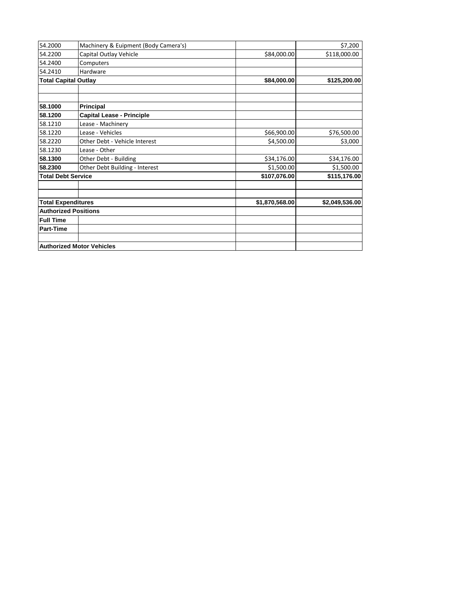| 54.2000                                                  | Machinery & Euipment (Body Camera's) |                | \$7,200        |
|----------------------------------------------------------|--------------------------------------|----------------|----------------|
| 54.2200                                                  | Capital Outlay Vehicle               | \$84,000.00    | \$118,000.00   |
| 54.2400                                                  | Computers                            |                |                |
| 54.2410                                                  | Hardware                             |                |                |
| <b>Total Capital Outlay</b>                              |                                      | \$84,000.00    | \$125,200.00   |
|                                                          |                                      |                |                |
| 58.1000                                                  | <b>Principal</b>                     |                |                |
| 58.1200                                                  | <b>Capital Lease - Principle</b>     |                |                |
| 58.1210                                                  | Lease - Machinery                    |                |                |
| 58.1220                                                  | Lease - Vehicles                     | \$66,900.00    | \$76,500.00    |
| 58.2220                                                  | Other Debt - Vehicle Interest        | \$4,500.00     | \$3,000        |
| 58.1230                                                  | Lease - Other                        |                |                |
| 58.1300                                                  | Other Debt - Building                | \$34,176.00    | \$34,176.00    |
| 58.2300                                                  | Other Debt Building - Interest       | \$1,500.00     | \$1,500.00     |
| <b>Total Debt Service</b>                                |                                      | \$107,076.00   | \$115,176.00   |
|                                                          |                                      |                |                |
|                                                          |                                      | \$1,870,568.00 | \$2,049,536.00 |
| <b>Total Expenditures</b><br><b>Authorized Positions</b> |                                      |                |                |
| <b>Full Time</b>                                         |                                      |                |                |
| <b>Part-Time</b>                                         |                                      |                |                |
|                                                          |                                      |                |                |
|                                                          | <b>Authorized Motor Vehicles</b>     |                |                |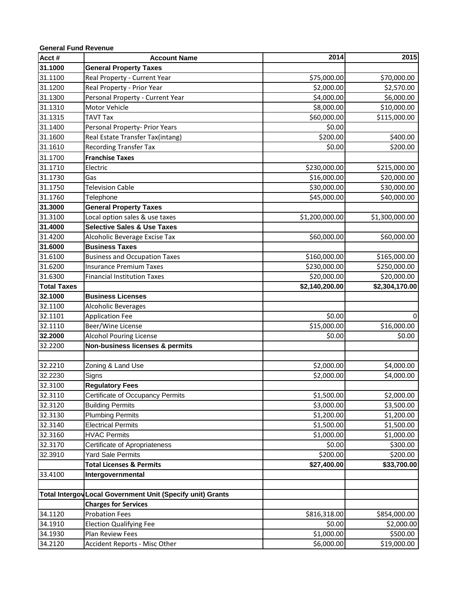| <b>General Fund Revenue</b> |                                                            |                |                |
|-----------------------------|------------------------------------------------------------|----------------|----------------|
| Acct #                      | <b>Account Name</b>                                        | 2014           | 2015           |
| 31.1000                     | <b>General Property Taxes</b>                              |                |                |
| 31.1100                     | Real Property - Current Year                               | \$75,000.00    | \$70,000.00    |
| 31.1200                     | Real Property - Prior Year                                 | \$2,000.00     | \$2,570.00     |
| 31.1300                     | Personal Property - Current Year                           | \$4,000.00     | \$6,000.00     |
| 31.1310                     | Motor Vehicle                                              | \$8,000.00     | \$10,000.00    |
| 31.1315                     | <b>TAVT Tax</b>                                            | \$60,000.00    | \$115,000.00   |
| 31.1400                     | Personal Property- Prior Years                             | \$0.00         |                |
| 31.1600                     | Real Estate Transfer Tax(intang)                           | \$200.00       | \$400.00       |
| 31.1610                     | <b>Recording Transfer Tax</b>                              | \$0.00         | \$200.00       |
| 31.1700                     | <b>Franchise Taxes</b>                                     |                |                |
| 31.1710                     | Electric                                                   | \$230,000.00   | \$215,000.00   |
| 31.1730                     | Gas                                                        | \$16,000.00    | \$20,000.00    |
| 31.1750                     | <b>Television Cable</b>                                    | \$30,000.00    | \$30,000.00    |
| 31.1760                     | Telephone                                                  | \$45,000.00    | \$40,000.00    |
| 31.3000                     | <b>General Property Taxes</b>                              |                |                |
| 31.3100                     | Local option sales & use taxes                             | \$1,200,000.00 | \$1,300,000.00 |
| 31.4000                     | <b>Selective Sales &amp; Use Taxes</b>                     |                |                |
| 31.4200                     | Alcoholic Beverage Excise Tax                              | \$60,000.00    | \$60,000.00    |
| 31.6000                     | <b>Business Taxes</b>                                      |                |                |
| 31.6100                     | <b>Business and Occupation Taxes</b>                       | \$160,000.00   | \$165,000.00   |
| 31.6200                     | <b>Insurance Premium Taxes</b>                             | \$230,000.00   | \$250,000.00   |
| 31.6300                     | <b>Financial Institution Taxes</b>                         | \$20,000.00    | \$20,000.00    |
| <b>Total Taxes</b>          |                                                            | \$2,140,200.00 | \$2,304,170.00 |
| 32.1000                     | <b>Business Licenses</b>                                   |                |                |
| 32.1100                     | Alcoholic Beverages                                        |                |                |
| 32.1101                     | <b>Application Fee</b>                                     | \$0.00         | 0              |
| 32.1110                     | Beer/Wine License                                          | \$15,000.00    | \$16,000.00    |
| 32.2000                     | <b>Alcohol Pouring License</b>                             | \$0.00         | \$0.00         |
| 32.2200                     | Non-business licenses & permits                            |                |                |
|                             |                                                            |                |                |
| 32.2210                     | Zoning & Land Use                                          | \$2,000.00     | \$4,000.00     |
| 32.2230                     | Signs                                                      | \$2,000.00     | \$4,000.00     |
| 32.3100                     | <b>Regulatory Fees</b>                                     |                |                |
| 32.3110                     | Certificate of Occupancy Permits                           | \$1,500.00     | \$2,000.00     |
| 32.3120                     | <b>Building Permits</b>                                    | \$3,000.00     | \$3,500.00     |
| 32.3130                     | <b>Plumbing Permits</b>                                    | \$1,200.00     | \$1,200.00     |
| 32.3140                     | <b>Electrical Permits</b>                                  | \$1,500.00     | \$1,500.00     |
| 32.3160                     | <b>HVAC Permits</b>                                        | \$1,000.00     | \$1,000.00     |
| 32.3170                     | Certificate of Apropriateness                              | \$0.00         | \$300.00       |
| 32.3910                     | <b>Yard Sale Permits</b>                                   | \$200.00       | \$200.00       |
|                             | <b>Total Licenses &amp; Permits</b>                        | \$27,400.00    | \$33,700.00    |
| 33.4100                     | Intergovernmental                                          |                |                |
|                             |                                                            |                |                |
|                             | Total Intergov Local Government Unit (Specify unit) Grants |                |                |
|                             | <b>Charges for Services</b>                                |                |                |
| 34.1120                     | <b>Probation Fees</b>                                      | \$816,318.00   | \$854,000.00   |
| 34.1910                     | <b>Election Qualifying Fee</b>                             | \$0.00         | \$2,000.00     |
| 34.1930                     | Plan Review Fees                                           | \$1,000.00     | \$500.00       |
| 34.2120                     | Accident Reports - Misc Other                              | \$6,000.00     | \$19,000.00    |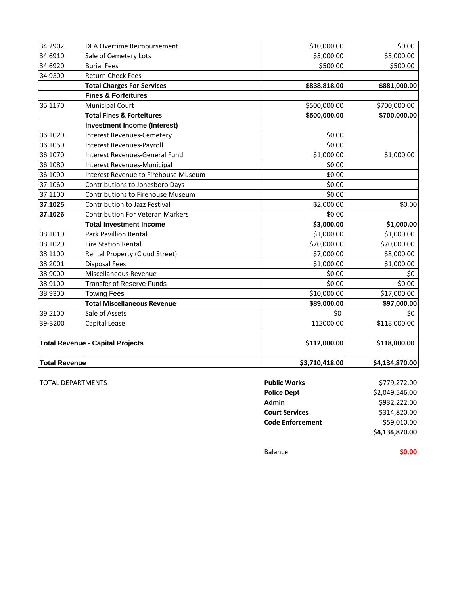| <b>Total Revenue</b> |                                                                      | \$3,710,418.00   | \$4,134,870.00 |
|----------------------|----------------------------------------------------------------------|------------------|----------------|
|                      |                                                                      |                  |                |
|                      | <b>Total Revenue - Capital Projects</b>                              | \$112,000.00     | \$118,000.00   |
|                      |                                                                      |                  |                |
| 39-3200              | Capital Lease                                                        | 112000.00        | \$118,000.00   |
| 39.2100              | Sale of Assets                                                       | \$0              | \$0            |
|                      | <b>Total Miscellaneous Revenue</b>                                   | \$89,000.00      | \$97,000.00    |
| 38.9300              | <b>Towing Fees</b>                                                   | \$10,000.00      | \$17,000.00    |
| 38.9100              | <b>Transfer of Reserve Funds</b>                                     | \$0.00           | \$0.00         |
| 38.9000              | Miscellaneous Revenue                                                | \$0.00           | \$0            |
| 38.2001              | <b>Disposal Fees</b>                                                 | \$1,000.00       | \$1,000.00     |
| 38.1100              | Rental Property (Cloud Street)                                       | \$7,000.00       | \$8,000.00     |
| 38.1020              | <b>Fire Station Rental</b>                                           | \$70,000.00      | \$70,000.00    |
| 38.1010              | <b>Park Pavillion Rental</b>                                         | \$1,000.00       | \$1,000.00     |
|                      | <b>Total Investment Income</b>                                       | \$3,000.00       | \$1,000.00     |
| 37.1026              | <b>Contribution For Veteran Markers</b>                              | \$0.00           |                |
| 37.1025              | Contribution to Jazz Festival                                        | \$2,000.00       | \$0.00         |
| 37.1100              | Contributions to Jonesboro Days<br>Contributions to Firehouse Museum | \$0.00           |                |
| 37.1060              |                                                                      | \$0.00           |                |
| 36.1090              | Interest Revenues-Municipal<br>Interest Revenue to Firehouse Museum  | \$0.00<br>\$0.00 |                |
| 36.1080              |                                                                      | \$1,000.00       | \$1,000.00     |
| 36.1050<br>36.1070   | Interest Revenues-Payroll<br>Interest Revenues-General Fund          | \$0.00           |                |
| 36.1020              | <b>Interest Revenues-Cemetery</b>                                    | \$0.00           |                |
|                      | <b>Investment Income (Interest)</b>                                  |                  |                |
|                      | <b>Total Fines &amp; Forteitures</b>                                 | \$500,000.00     | \$700,000.00   |
| 35.1170              | <b>Municipal Court</b>                                               | \$500,000.00     | \$700,000.00   |
|                      | <b>Fines &amp; Forfeitures</b>                                       |                  |                |
|                      | <b>Total Charges For Services</b>                                    | \$838,818.00     | \$881,000.00   |
| 34.9300              | <b>Return Check Fees</b>                                             |                  |                |
| 34.6920              | <b>Burial Fees</b>                                                   | \$500.00         | \$500.00       |
| 34.6910              | Sale of Cemetery Lots                                                | \$5,000.00       | \$5,000.00     |
| 34.2902              | DEA Overtime Reimbursement                                           | \$10,000.00      | \$0.00         |
|                      |                                                                      |                  |                |

**TOTAL DEPARTMENTS** 

|                                        | \$4,134,870.00 |
|----------------------------------------|----------------|
| \$59,010.00<br><b>Code Enforcement</b> |                |
| <b>Court Services</b>                  | \$314,820.00   |
| Admin                                  | \$932,222.00   |
| <b>Police Dept</b>                     | \$2,049,546.00 |
| <b>Public Works</b>                    | \$779,272.00   |

Balance **\$0.00**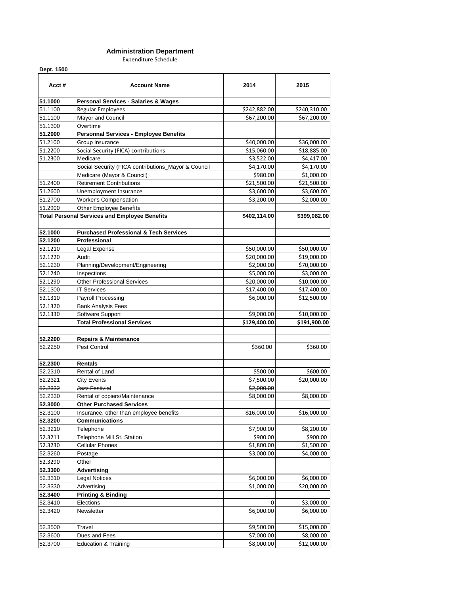#### **Administration Department**

Expenditure Schedule

**Dept. 1500**

| Acct#   | <b>Account Name</b>                                  | 2014         | 2015         |
|---------|------------------------------------------------------|--------------|--------------|
| 51.1000 | Personal Services - Salaries & Wages                 |              |              |
| 51.1100 | Regular Employees                                    | \$242,882.00 | \$240,310.00 |
| 51.1100 | Mayor and Council                                    | \$67,200.00  | \$67,200.00  |
| 51.1300 | Overtime                                             |              |              |
| 51.2000 | <b>Personnal Services - Employee Benefits</b>        |              |              |
| 51.2100 | Group Insurance                                      | \$40,000.00  | \$36,000.00  |
| 51.2200 | Social Security (FICA) contributions                 | \$15,060.00  | \$18,885.00  |
| 51.2300 | Medicare                                             | \$3,522.00   | \$4,417.00   |
|         | Social Security (FICA contributions_Mayor & Council  | \$4,170.00   | \$4,170.00   |
|         | Medicare (Mayor & Council)                           | \$980.00     | \$1,000.00   |
| 51.2400 | <b>Retirement Contributions</b>                      | \$21,500.00  | \$21,500.00  |
| 51.2600 | Unemployment Insurance                               | \$3,600.00   | \$3,600.00   |
| 51.2700 | <b>Worker's Compensation</b>                         | \$3,200.00   | \$2,000.00   |
| 51.2900 | <b>Other Employee Benefits</b>                       |              |              |
|         | <b>Total Personal Services and Employee Benefits</b> | \$402,114.00 | \$399,082.00 |
| 52.1000 | <b>Purchased Professional &amp; Tech Services</b>    |              |              |
| 52.1200 | Professional                                         |              |              |
| 52.1210 | Legal Expense                                        | \$50,000.00  | \$50,000.00  |
| 52.1220 | Audit                                                | \$20,000.00  | \$19,000.00  |
| 52.1230 | Planning/Development/Engineering                     | \$2,000.00   | \$70,000.00  |
| 52.1240 | Inspections                                          | \$5,000.00   | \$3,000.00   |
| 52.1290 | <b>Other Professional Services</b>                   | \$20,000.00  | \$10,000.00  |
| 52.1300 | <b>IT Services</b>                                   | \$17,400.00  | \$17,400.00  |
| 52.1310 | Payroll Processing                                   | \$6,000.00   | \$12,500.00  |
| 52.1320 | <b>Bank Analysis Fees</b>                            |              |              |
| 52.1330 | Software Support                                     | \$9,000.00   | \$10,000.00  |
|         | <b>Total Professional Services</b>                   | \$129,400.00 | \$191,900.00 |
|         |                                                      |              |              |
| 52.2200 | <b>Repairs &amp; Maintenance</b>                     |              |              |
| 52.2250 | Pest Control                                         | \$360.00     | \$360.00     |
| 52.2300 | <b>Rentals</b>                                       |              |              |
| 52.2310 | Rental of Land                                       | \$500.00     | \$600.00     |
| 52.2321 | <b>City Events</b>                                   | \$7,500.00   | \$20,000.00  |
| 52.2322 | Jazz Festivial                                       | \$2,000.00   |              |
| 52.2330 | Rental of copiers/Maintenance                        | \$8,000.00   | \$8,000.00   |
| 52.3000 | <b>Other Purchased Services</b>                      |              |              |
| 52.3100 | Insurance, other than employee benefits              | \$16,000.00  | \$16,000.00  |
| 52.3200 | <b>Communications</b>                                |              |              |
| 52.3210 | Telephone                                            | \$7,900.00   | \$8,200.00   |
| 52.3211 | Telephone Mill St. Station                           | \$900.00     | \$900.00     |
| 52.3230 | <b>Cellular Phones</b>                               | \$1,800.00   | \$1,500.00   |
| 52.3260 | Postage                                              | \$3,000.00   | \$4,000.00   |
| 52.3290 | Other                                                |              |              |
| 52.3300 | <b>Advertising</b>                                   |              |              |
| 52.3310 | <b>Legal Notices</b>                                 | \$6,000.00   | \$6,000.00   |
| 52.3330 | Advertising                                          | \$1,000.00   | \$20,000.00  |
| 52.3400 | <b>Printing &amp; Binding</b>                        |              |              |
| 52.3410 | Elections                                            | $\Omega$     | \$3,000.00   |
| 52.3420 | Newsletter                                           | \$6,000.00   | \$6,000.00   |
|         |                                                      |              |              |
| 52.3500 | Travel                                               | \$9,500.00   | \$15,000.00  |
| 52.3600 | Dues and Fees                                        | \$7,000.00   | \$8,000.00   |
| 52.3700 | <b>Education &amp; Training</b>                      | \$8,000.00   | \$12,000.00  |
|         |                                                      |              |              |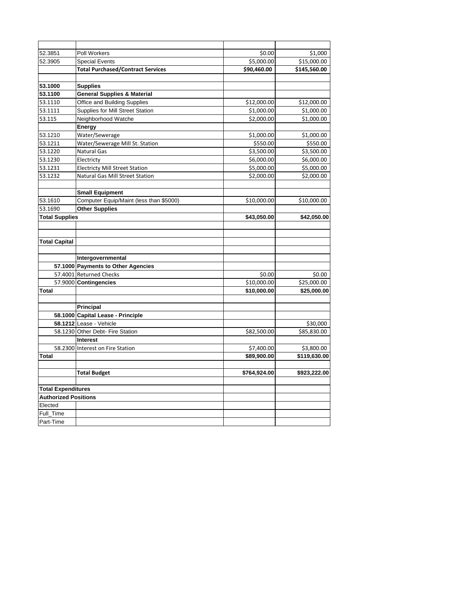| 52.3851                     | Poll Workers                             | \$0.00       | \$1,000      |
|-----------------------------|------------------------------------------|--------------|--------------|
| 52.3905                     | <b>Special Events</b>                    | \$5,000.00   | \$15,000.00  |
|                             | <b>Total Purchased/Contract Services</b> | \$90,460.00  | \$145,560.00 |
|                             |                                          |              |              |
| 53.1000                     | <b>Supplies</b>                          |              |              |
| 53.1100                     | <b>General Supplies &amp; Material</b>   |              |              |
| 53.1110                     | Office and Building Supplies             | \$12,000.00  | \$12,000.00  |
| 53.1111                     | Supplies for Mill Street Station         | \$1,000.00   | \$1,000.00   |
| 53.115                      | Neighborhood Watche                      | \$2,000.00   | \$1,000.00   |
|                             | Energy                                   |              |              |
| 53.1210                     | Water/Sewerage                           | \$1,000.00   | \$1,000.00   |
| 53.1211                     | Water/Sewerage Mill St. Station          | \$550.00     | \$550.00     |
| 53.1220                     | <b>Natural Gas</b>                       | \$3,500.00   | \$3,500.00   |
| 53.1230                     | Electricty                               | \$6,000.00   | \$6,000.00   |
| 53.1231                     | <b>Electricty Mill Street Station</b>    | \$5,000.00   | \$5,000.00   |
| 53.1232                     | <b>Natural Gas Mill Street Station</b>   | \$2,000.00   | \$2,000.00   |
|                             |                                          |              |              |
|                             | <b>Small Equipment</b>                   |              |              |
| 53.1610                     | Computer Equip/Maint (less than \$5000)  | \$10,000.00  | \$10,000.00  |
| 53.1690                     | <b>Other Supplies</b>                    |              |              |
| <b>Total Supplies</b>       |                                          | \$43,050.00  | \$42,050.00  |
|                             |                                          |              |              |
|                             |                                          |              |              |
| <b>Total Capital</b>        |                                          |              |              |
|                             |                                          |              |              |
|                             | Intergovernmental                        |              |              |
|                             | 57.1000 Payments to Other Agencies       |              |              |
|                             | 57.4001 Returned Checks                  | \$0.00       | \$0.00       |
|                             | 57.9000 Contingencies                    | \$10,000.00  | \$25,000.00  |
| Total                       |                                          | \$10,000.00  | \$25,000.00  |
|                             |                                          |              |              |
|                             | Principal                                |              |              |
|                             | 58.1000 Capital Lease - Principle        |              |              |
|                             | 58.1212 Lease - Vehicle                  |              | \$30,000     |
|                             | 58.1230 Other Debt- Fire Station         | \$82,500.00  | \$85,830.00  |
|                             | Interest                                 |              |              |
|                             | 58.2300 Interest on Fire Station         | \$7,400.00   | \$3,800.00   |
| Total                       |                                          | \$89,900.00  | \$119,630.00 |
|                             |                                          |              |              |
|                             | <b>Total Budget</b>                      | \$764,924.00 | \$923,222.00 |
|                             |                                          |              |              |
| <b>Total Expenditures</b>   |                                          |              |              |
| <b>Authorized Positions</b> |                                          |              |              |
| Elected                     |                                          |              |              |
| Full Time                   |                                          |              |              |
| Part-Time                   |                                          |              |              |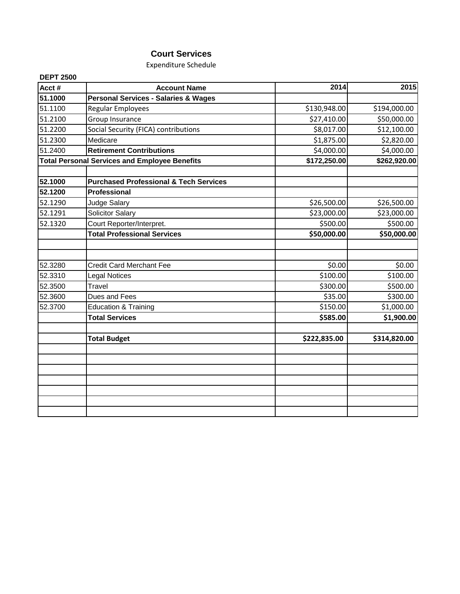# **Court Services**

Expenditure Schedule

| Acct #  | <b>Account Name</b>                                  | 2014         | 2015         |
|---------|------------------------------------------------------|--------------|--------------|
| 51.1000 | <b>Personal Services - Salaries &amp; Wages</b>      |              |              |
| 51.1100 | Regular Employees                                    | \$130,948.00 | \$194,000.00 |
| 51.2100 | Group Insurance                                      | \$27,410.00  | \$50,000.00  |
| 51.2200 | Social Security (FICA) contributions                 | \$8,017.00   | \$12,100.00  |
| 51.2300 | Medicare                                             | \$1,875.00   | \$2,820.00   |
| 51.2400 | <b>Retirement Contributions</b>                      | \$4,000.00   | \$4,000.00   |
|         | <b>Total Personal Services and Employee Benefits</b> | \$172,250.00 | \$262,920.00 |
|         |                                                      |              |              |
| 52.1000 | <b>Purchased Professional &amp; Tech Services</b>    |              |              |
| 52.1200 | <b>Professional</b>                                  |              |              |
| 52.1290 | <b>Judge Salary</b>                                  | \$26,500.00  | \$26,500.00  |
| 52.1291 | Solicitor Salary                                     | \$23,000.00  | \$23,000.00  |
| 52.1320 | Court Reporter/Interpret.                            | \$500.00     | \$500.00     |
|         | <b>Total Professional Services</b>                   | \$50,000.00  | \$50,000.00  |
|         |                                                      |              |              |
| 52.3280 | <b>Credit Card Merchant Fee</b>                      | \$0.00       | \$0.00       |
| 52.3310 | <b>Legal Notices</b>                                 | \$100.00     | \$100.00     |
| 52.3500 | Travel                                               | \$300.00     | \$500.00     |
| 52.3600 | Dues and Fees                                        | \$35.00      | \$300.00     |
| 52.3700 | <b>Education &amp; Training</b>                      | \$150.00     | \$1,000.00   |
|         | <b>Total Services</b>                                | \$585.00     | \$1,900.00   |
|         |                                                      |              |              |
|         | <b>Total Budget</b>                                  | \$222,835.00 | \$314,820.00 |
|         |                                                      |              |              |
|         |                                                      |              |              |
|         |                                                      |              |              |
|         |                                                      |              |              |
|         |                                                      |              |              |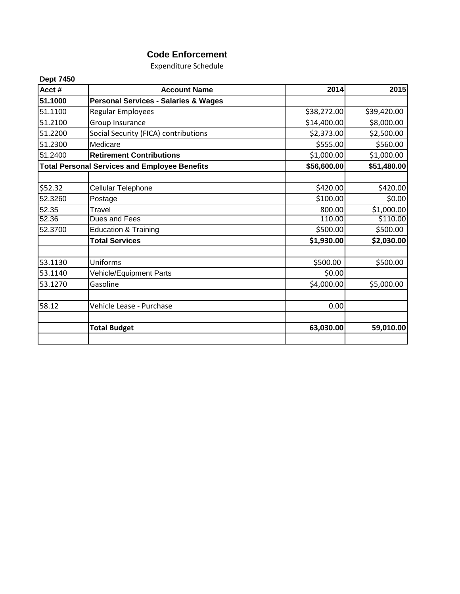# **Code Enforcement**

Expenditure Schedule

| <b>Dept 7450</b><br>Acct# | <b>Account Name</b>                                  | 2014        | 2015        |
|---------------------------|------------------------------------------------------|-------------|-------------|
| 51.1000                   | <b>Personal Services - Salaries &amp; Wages</b>      |             |             |
| 51.1100                   | Regular Employees                                    | \$38,272.00 | \$39,420.00 |
| 51.2100                   |                                                      | \$14,400.00 | \$8,000.00  |
|                           | Group Insurance                                      |             |             |
| 51.2200                   | Social Security (FICA) contributions                 | \$2,373.00  | \$2,500.00  |
| 51.2300                   | Medicare                                             | \$555.00    | \$560.00    |
| 51.2400                   | <b>Retirement Contributions</b>                      | \$1,000.00  | \$1,000.00  |
|                           | <b>Total Personal Services and Employee Benefits</b> | \$56,600.00 | \$51,480.00 |
|                           |                                                      |             |             |
| \$52.32                   | Cellular Telephone                                   | \$420.00    | \$420.00    |
| 52.3260                   | Postage                                              | \$100.00    | \$0.00      |
| 52.35                     | Travel                                               | 800.00      | \$1,000.00  |
| 52.36                     | Dues and Fees                                        | 110.00      | \$110.00    |
| 52.3700                   | <b>Education &amp; Training</b>                      | \$500.00    | \$500.00    |
|                           | <b>Total Services</b>                                | \$1,930.00  | \$2,030.00  |
| 53.1130                   | Uniforms                                             | \$500.00    | \$500.00    |
| 53.1140                   | Vehicle/Equipment Parts                              | \$0.00      |             |
| 53.1270                   | Gasoline                                             | \$4,000.00  | \$5,000.00  |
|                           |                                                      |             |             |
| 58.12                     | Vehicle Lease - Purchase                             | 0.00        |             |
|                           | <b>Total Budget</b>                                  | 63,030.00   | 59,010.00   |
|                           |                                                      |             |             |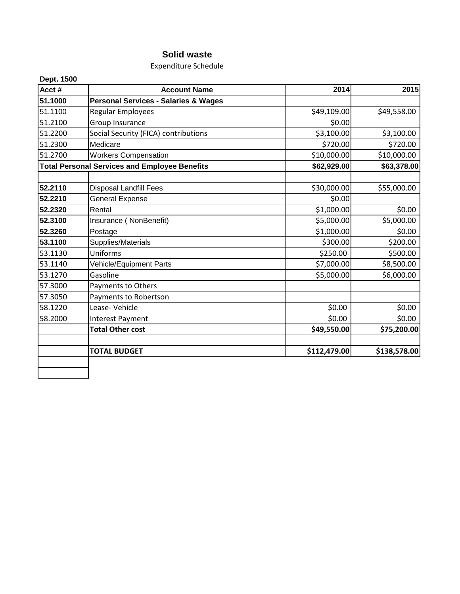# **Solid waste**

Expenditure Schedule

| Acct#   | <b>Account Name</b>                                  | 2014         | 2015         |
|---------|------------------------------------------------------|--------------|--------------|
| 51.1000 | <b>Personal Services - Salaries &amp; Wages</b>      |              |              |
| 51.1100 | Regular Employees                                    | \$49,109.00  | \$49,558.00  |
| 51.2100 | Group Insurance                                      | \$0.00       |              |
| 51.2200 | Social Security (FICA) contributions                 | \$3,100.00   | \$3,100.00   |
| 51.2300 | Medicare                                             | \$720.00     | \$720.00     |
| 51.2700 | <b>Workers Compensation</b>                          | \$10,000.00  | \$10,000.00  |
|         | <b>Total Personal Services and Employee Benefits</b> | \$62,929.00  | \$63,378.00  |
| 52.2110 | <b>Disposal Landfill Fees</b>                        | \$30,000.00  | \$55,000.00  |
| 52.2210 | General Expense                                      | \$0.00       |              |
| 52.2320 | Rental                                               | \$1,000.00   | \$0.00       |
| 52.3100 | Insurance (NonBenefit)                               | \$5,000.00   | \$5,000.00   |
| 52.3260 | Postage                                              | \$1,000.00   | \$0.00       |
| 53.1100 | Supplies/Materials                                   | \$300.00     | \$200.00     |
| 53.1130 | Uniforms                                             | \$250.00     | \$500.00     |
| 53.1140 | Vehicle/Equipment Parts                              | \$7,000.00   | \$8,500.00   |
| 53.1270 | Gasoline                                             | \$5,000.00   | \$6,000.00   |
| 57.3000 | Payments to Others                                   |              |              |
| 57.3050 | Payments to Robertson                                |              |              |
| 58.1220 | Lease-Vehicle                                        | \$0.00       | \$0.00       |
| 58.2000 | <b>Interest Payment</b>                              | \$0.00       | \$0.00       |
|         | <b>Total Other cost</b>                              | \$49,550.00  | \$75,200.00  |
|         | <b>TOTAL BUDGET</b>                                  | \$112,479.00 | \$138,578.00 |